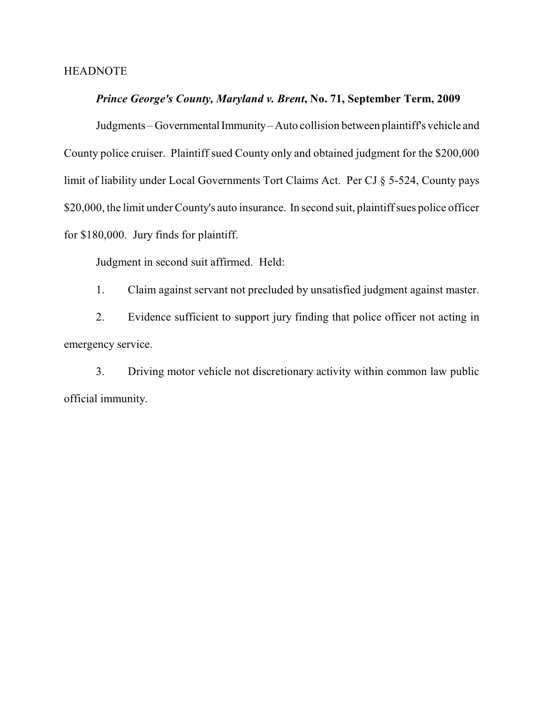### **HEADNOTE**

### *Prince George's County, Maryland v. Brent***, No. 71, September Term, 2009**

Judgments – Governmental Immunity – Auto collision between plaintiff's vehicle and County police cruiser. Plaintiff sued County only and obtained judgment for the \$200,000 limit of liability under Local Governments Tort Claims Act. Per CJ § 5-524, County pays \$20,000, the limit under County's auto insurance. In second suit, plaintiff sues police officer for \$180,000. Jury finds for plaintiff.

Judgment in second suit affirmed. Held:

1. Claim against servant not precluded by unsatisfied judgment against master.

2. Evidence sufficient to support jury finding that police officer not acting in emergency service.

3. Driving motor vehicle not discretionary activity within common law public official immunity.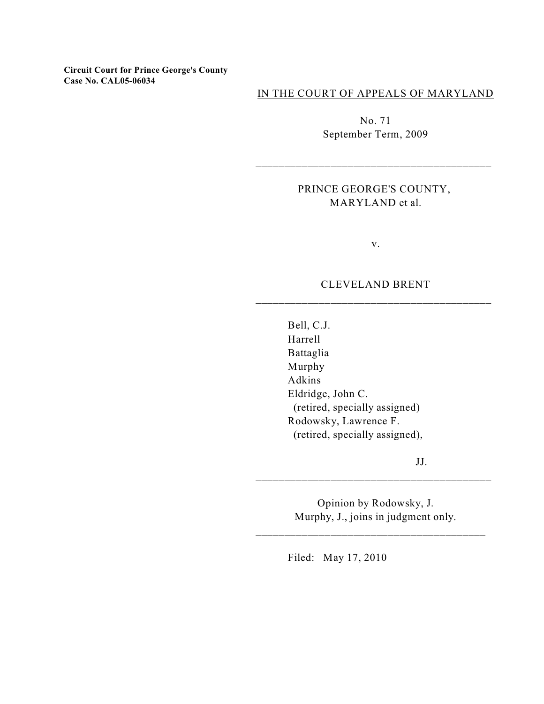**Circuit Court for Prince George's County Case No. CAL05-06034**

IN THE COURT OF APPEALS OF MARYLAND

No. 71 September Term, 2009

## PRINCE GEORGE'S COUNTY, MARYLAND et al.

v.

### CLEVELAND BRENT \_\_\_\_\_\_\_\_\_\_\_\_\_\_\_\_\_\_\_\_\_\_\_\_\_\_\_\_\_\_\_\_\_\_\_\_\_\_\_\_\_

Bell, C.J. Harrell Battaglia Murphy Adkins Eldridge, John C. (retired, specially assigned) Rodowsky, Lawrence F. (retired, specially assigned),

JJ.

Opinion by Rodowsky, J. Murphy, J., joins in judgment only.

\_\_\_\_\_\_\_\_\_\_\_\_\_\_\_\_\_\_\_\_\_\_\_\_\_\_\_\_\_\_\_\_\_\_\_\_\_\_\_\_

\_\_\_\_\_\_\_\_\_\_\_\_\_\_\_\_\_\_\_\_\_\_\_\_\_\_\_\_\_\_\_\_\_\_\_\_\_\_\_\_\_

Filed: May 17, 2010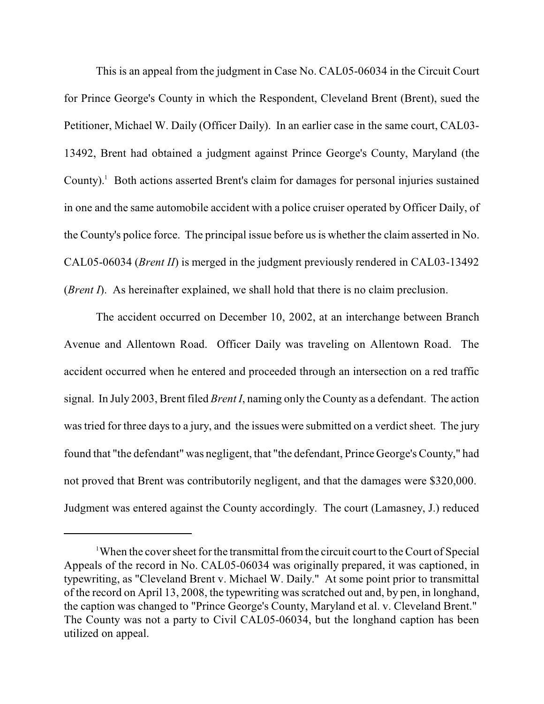This is an appeal from the judgment in Case No. CAL05-06034 in the Circuit Court for Prince George's County in which the Respondent, Cleveland Brent (Brent), sued the Petitioner, Michael W. Daily (Officer Daily). In an earlier case in the same court, CAL03- 13492, Brent had obtained a judgment against Prince George's County, Maryland (the County). $\blacksquare$  Both actions asserted Brent's claim for damages for personal injuries sustained in one and the same automobile accident with a police cruiser operated by Officer Daily, of the County's police force. The principal issue before us is whether the claim asserted in No. CAL05-06034 (*Brent II*) is merged in the judgment previously rendered in CAL03-13492 (*Brent I*). As hereinafter explained, we shall hold that there is no claim preclusion.

The accident occurred on December 10, 2002, at an interchange between Branch Avenue and Allentown Road. Officer Daily was traveling on Allentown Road. The accident occurred when he entered and proceeded through an intersection on a red traffic signal. In July 2003, Brent filed *Brent I*, naming only the County as a defendant. The action was tried for three days to a jury, and the issues were submitted on a verdict sheet. The jury found that "the defendant" was negligent, that "the defendant, Prince George's County," had not proved that Brent was contributorily negligent, and that the damages were \$320,000. Judgment was entered against the County accordingly. The court (Lamasney, J.) reduced

<sup>&</sup>lt;sup>1</sup>When the cover sheet for the transmittal from the circuit court to the Court of Special Appeals of the record in No. CAL05-06034 was originally prepared, it was captioned, in typewriting, as "Cleveland Brent v. Michael W. Daily." At some point prior to transmittal of the record on April 13, 2008, the typewriting was scratched out and, by pen, in longhand, the caption was changed to "Prince George's County, Maryland et al. v. Cleveland Brent." The County was not a party to Civil CAL05-06034, but the longhand caption has been utilized on appeal.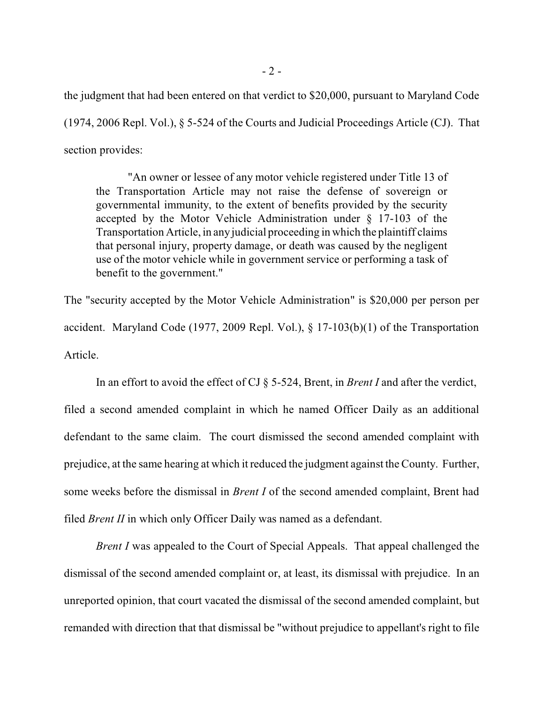the judgment that had been entered on that verdict to \$20,000, pursuant to Maryland Code (1974, 2006 Repl. Vol.), § 5-524 of the Courts and Judicial Proceedings Article (CJ). That section provides:

"An owner or lessee of any motor vehicle registered under Title 13 of the Transportation Article may not raise the defense of sovereign or governmental immunity, to the extent of benefits provided by the security accepted by the Motor Vehicle Administration under § 17-103 of the Transportation Article, in anyjudicial proceeding in which the plaintiff claims that personal injury, property damage, or death was caused by the negligent use of the motor vehicle while in government service or performing a task of benefit to the government."

The "security accepted by the Motor Vehicle Administration" is \$20,000 per person per accident. Maryland Code (1977, 2009 Repl. Vol.), § 17-103(b)(1) of the Transportation Article.

In an effort to avoid the effect of CJ § 5-524, Brent, in *Brent I* and after the verdict, filed a second amended complaint in which he named Officer Daily as an additional defendant to the same claim. The court dismissed the second amended complaint with prejudice, at the same hearing at which it reduced the judgment against the County. Further, some weeks before the dismissal in *Brent I* of the second amended complaint, Brent had filed *Brent II* in which only Officer Daily was named as a defendant.

*Brent I* was appealed to the Court of Special Appeals. That appeal challenged the dismissal of the second amended complaint or, at least, its dismissal with prejudice. In an unreported opinion, that court vacated the dismissal of the second amended complaint, but remanded with direction that that dismissal be "without prejudice to appellant's right to file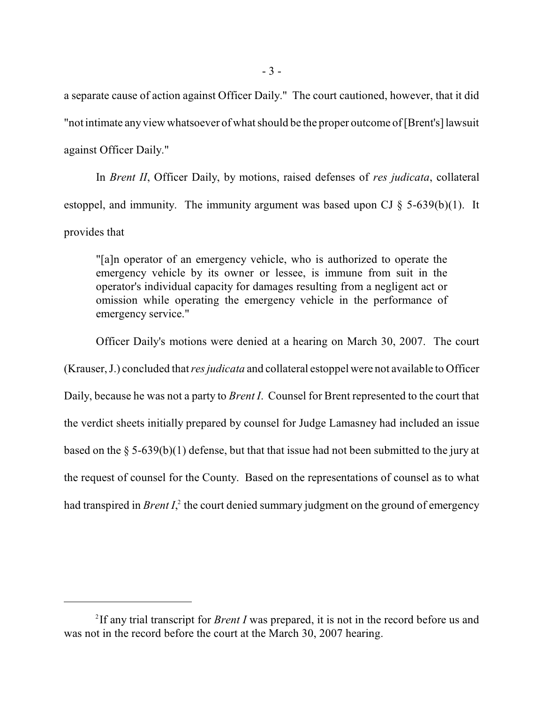a separate cause of action against Officer Daily." The court cautioned, however, that it did "not intimate anyview whatsoever of what should be the proper outcome of[Brent's] lawsuit against Officer Daily."

In *Brent II*, Officer Daily, by motions, raised defenses of *res judicata*, collateral estoppel, and immunity. The immunity argument was based upon CJ  $\S$  5-639(b)(1). It provides that

"[a]n operator of an emergency vehicle, who is authorized to operate the emergency vehicle by its owner or lessee, is immune from suit in the operator's individual capacity for damages resulting from a negligent act or omission while operating the emergency vehicle in the performance of emergency service."

Officer Daily's motions were denied at a hearing on March 30, 2007. The court (Krauser, J.) concluded that *res judicata* and collateral estoppel were not available to Officer Daily, because he was not a party to *Brent I*. Counsel for Brent represented to the court that the verdict sheets initially prepared by counsel for Judge Lamasney had included an issue based on the  $\S$  5-639(b)(1) defense, but that that issue had not been submitted to the jury at the request of counsel for the County. Based on the representations of counsel as to what had transpired in *Brent I*<sup>2</sup>, the court denied summary judgment on the ground of emergency

<sup>&</sup>lt;sup>2</sup>If any trial transcript for *Brent I* was prepared, it is not in the record before us and was not in the record before the court at the March 30, 2007 hearing.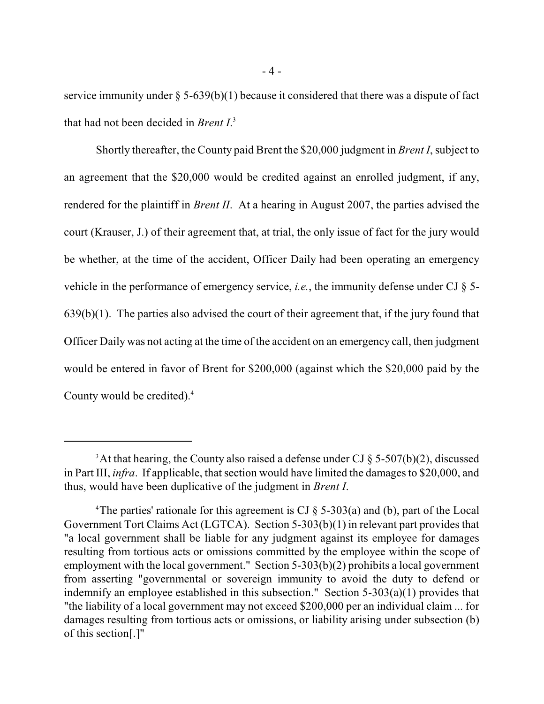service immunity under  $\S$  5-639(b)(1) because it considered that there was a dispute of fact that had not been decided in *Brent I*. 3

Shortly thereafter, the County paid Brent the \$20,000 judgment in *Brent I*, subject to an agreement that the \$20,000 would be credited against an enrolled judgment, if any, rendered for the plaintiff in *Brent II*. At a hearing in August 2007, the parties advised the court (Krauser, J.) of their agreement that, at trial, the only issue of fact for the jury would be whether, at the time of the accident, Officer Daily had been operating an emergency vehicle in the performance of emergency service, *i.e.*, the immunity defense under CJ § 5- 639(b)(1). The parties also advised the court of their agreement that, if the jury found that Officer Daily was not acting at the time of the accident on an emergency call, then judgment would be entered in favor of Brent for \$200,000 (against which the \$20,000 paid by the County would be credited).<sup>4</sup>

<sup>&</sup>lt;sup>3</sup>At that hearing, the County also raised a defense under CJ  $\S$  5-507(b)(2), discussed in Part III, *infra*. If applicable, that section would have limited the damages to \$20,000, and thus, would have been duplicative of the judgment in *Brent I*.

<sup>&</sup>lt;sup>4</sup>The parties' rationale for this agreement is CJ  $\S$  5-303(a) and (b), part of the Local Government Tort Claims Act (LGTCA). Section 5-303(b)(1) in relevant part provides that "a local government shall be liable for any judgment against its employee for damages resulting from tortious acts or omissions committed by the employee within the scope of employment with the local government." Section 5-303(b)(2) prohibits a local government from asserting "governmental or sovereign immunity to avoid the duty to defend or indemnify an employee established in this subsection." Section 5-303(a)(1) provides that "the liability of a local government may not exceed \$200,000 per an individual claim ... for damages resulting from tortious acts or omissions, or liability arising under subsection (b) of this section[.]"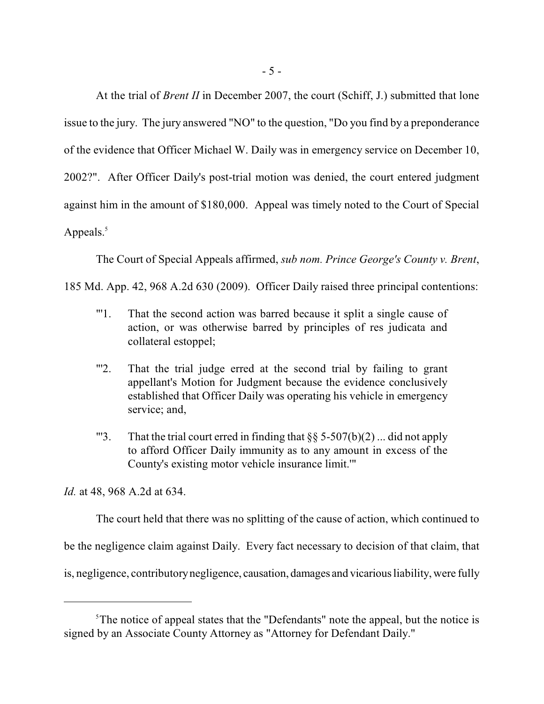At the trial of *Brent II* in December 2007, the court (Schiff, J.) submitted that lone issue to the jury. The jury answered "NO" to the question, "Do you find by a preponderance of the evidence that Officer Michael W. Daily was in emergency service on December 10, 2002?". After Officer Daily's post-trial motion was denied, the court entered judgment against him in the amount of \$180,000. Appeal was timely noted to the Court of Special Appeals. $5$ 

The Court of Special Appeals affirmed, *sub nom. Prince George's County v. Brent*,

185 Md. App. 42, 968 A.2d 630 (2009). Officer Daily raised three principal contentions:

- "'1. That the second action was barred because it split a single cause of action, or was otherwise barred by principles of res judicata and collateral estoppel;
- "'2. That the trial judge erred at the second trial by failing to grant appellant's Motion for Judgment because the evidence conclusively established that Officer Daily was operating his vehicle in emergency service; and,
- "'3. That the trial court erred in finding that  $\S$ § 5-507(b)(2) ... did not apply to afford Officer Daily immunity as to any amount in excess of the County's existing motor vehicle insurance limit.'"

*Id.* at 48, 968 A.2d at 634.

The court held that there was no splitting of the cause of action, which continued to

be the negligence claim against Daily. Every fact necessary to decision of that claim, that

is, negligence, contributorynegligence, causation, damages and vicarious liability, were fully

 $5$ The notice of appeal states that the "Defendants" note the appeal, but the notice is signed by an Associate County Attorney as "Attorney for Defendant Daily."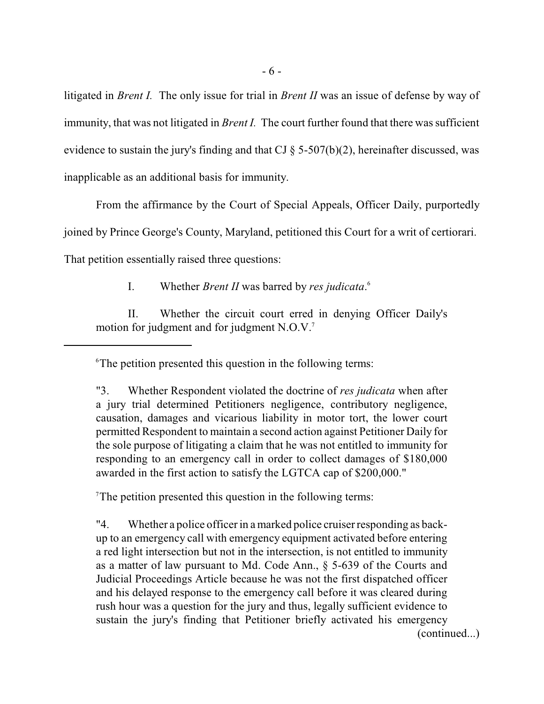litigated in *Brent I.* The only issue for trial in *Brent II* was an issue of defense by way of immunity, that was not litigated in *Brent I.* The court further found that there was sufficient evidence to sustain the jury's finding and that CJ § 5-507(b)(2), hereinafter discussed, was inapplicable as an additional basis for immunity.

From the affirmance by the Court of Special Appeals, Officer Daily, purportedly joined by Prince George's County, Maryland, petitioned this Court for a writ of certiorari. That petition essentially raised three questions:

I. Whether *Brent II* was barred by *res judicata*. 6

II. Whether the circuit court erred in denying Officer Daily's motion for judgment and for judgment N.O.V. 7

The petition presented this question in the following terms:

"4. Whether a police officer in a marked police cruiser responding as backup to an emergency call with emergency equipment activated before entering a red light intersection but not in the intersection, is not entitled to immunity as a matter of law pursuant to Md. Code Ann., § 5-639 of the Courts and Judicial Proceedings Article because he was not the first dispatched officer and his delayed response to the emergency call before it was cleared during rush hour was a question for the jury and thus, legally sufficient evidence to sustain the jury's finding that Petitioner briefly activated his emergency (continued...)

 $\delta$ The petition presented this question in the following terms:

<sup>&</sup>quot;3. Whether Respondent violated the doctrine of *res judicata* when after a jury trial determined Petitioners negligence, contributory negligence, causation, damages and vicarious liability in motor tort, the lower court permitted Respondent to maintain a second action against Petitioner Daily for the sole purpose of litigating a claim that he was not entitled to immunity for responding to an emergency call in order to collect damages of \$180,000 awarded in the first action to satisfy the LGTCA cap of \$200,000."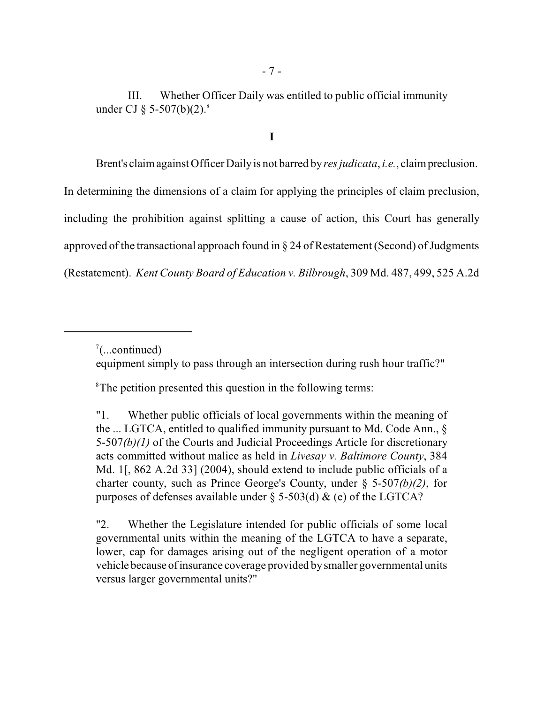III. Whether Officer Daily was entitled to public official immunity under CJ  $\frac{6}{9}$  5-507(b)(2).<sup>8</sup>

**I**

Brent's claimagainst Officer Dailyis not barred by*res judicata*, *i.e.*, claimpreclusion. In determining the dimensions of a claim for applying the principles of claim preclusion, including the prohibition against splitting a cause of action, this Court has generally approved of the transactional approach found in  $\S 24$  of Restatement (Second) of Judgments (Restatement). *Kent County Board of Education v. Bilbrough*, 309 Md. 487, 499, 525 A.2d

equipment simply to pass through an intersection during rush hour traffic?"

<sup>8</sup>The petition presented this question in the following terms:

"1. Whether public officials of local governments within the meaning of the ... LGTCA, entitled to qualified immunity pursuant to Md. Code Ann., § 5-507*(b)(1)* of the Courts and Judicial Proceedings Article for discretionary acts committed without malice as held in *Livesay v. Baltimore County*, 384 Md. 1[, 862 A.2d 33] (2004), should extend to include public officials of a charter county, such as Prince George's County, under § 5-507*(b)(2)*, for purposes of defenses available under  $\S$  5-503(d)  $\&$  (e) of the LGTCA?

"2. Whether the Legislature intended for public officials of some local governmental units within the meaning of the LGTCA to have a separate, lower, cap for damages arising out of the negligent operation of a motor vehicle because of insurance coverage provided bysmaller governmental units versus larger governmental units?"

 $\sqrt[7]{}$ ...continued)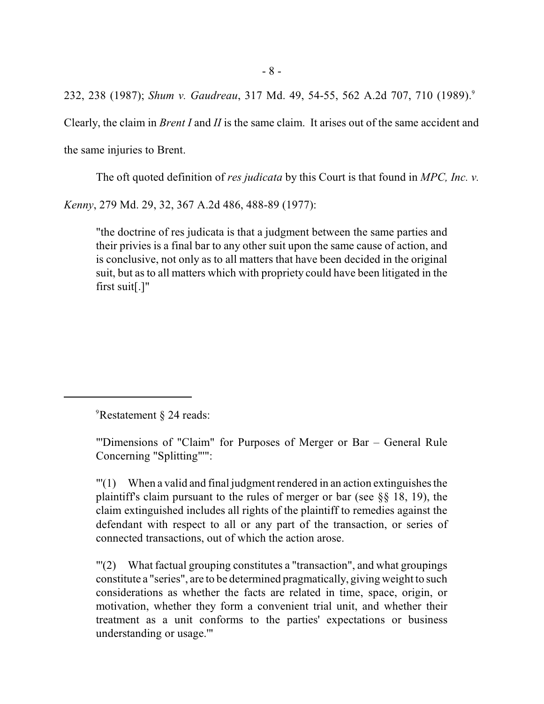232, 238 (1987); *Shum v. Gaudreau*, 317 Md. 49, 54-55, 562 A.2d 707, 710 (1989). 9

Clearly, the claim in *Brent I* and *II* is the same claim. It arises out of the same accident and

the same injuries to Brent.

The oft quoted definition of *res judicata* by this Court is that found in *MPC, Inc. v.*

*Kenny*, 279 Md. 29, 32, 367 A.2d 486, 488-89 (1977):

"the doctrine of res judicata is that a judgment between the same parties and their privies is a final bar to any other suit upon the same cause of action, and is conclusive, not only as to all matters that have been decided in the original suit, but as to all matters which with propriety could have been litigated in the first suit[.]"

 ${}^{9}$ Restatement § 24 reads:

"'Dimensions of "Claim" for Purposes of Merger or Bar – General Rule Concerning "Splitting"'":

 $"('1)$  When a valid and final judgment rendered in an action extinguishes the plaintiff's claim pursuant to the rules of merger or bar (see  $\S$ § 18, 19), the claim extinguished includes all rights of the plaintiff to remedies against the defendant with respect to all or any part of the transaction, or series of connected transactions, out of which the action arose.

"'(2) What factual grouping constitutes a "transaction", and what groupings constitute a "series", are to be determined pragmatically, giving weight to such considerations as whether the facts are related in time, space, origin, or motivation, whether they form a convenient trial unit, and whether their treatment as a unit conforms to the parties' expectations or business understanding or usage.'"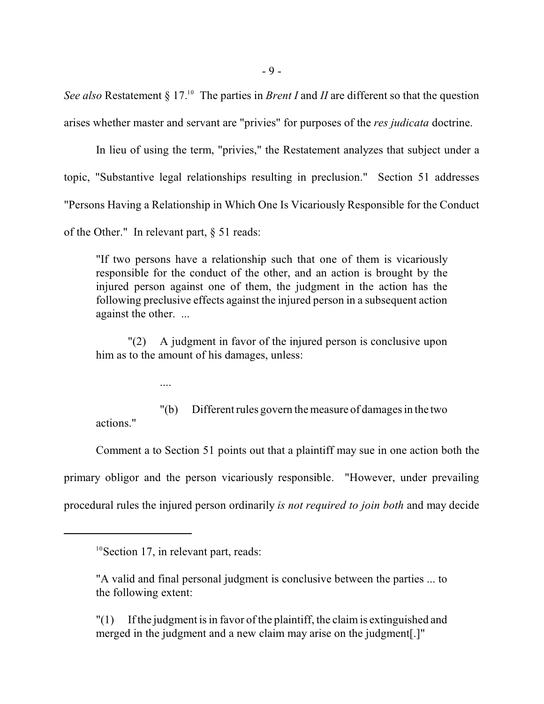See also Restatement § 17.<sup>10</sup> The parties in *Brent I* and *II* are different so that the question arises whether master and servant are "privies" for purposes of the *res judicata* doctrine.

In lieu of using the term, "privies," the Restatement analyzes that subject under a topic, "Substantive legal relationships resulting in preclusion." Section 51 addresses "Persons Having a Relationship in Which One Is Vicariously Responsible for the Conduct of the Other." In relevant part, § 51 reads:

"If two persons have a relationship such that one of them is vicariously responsible for the conduct of the other, and an action is brought by the injured person against one of them, the judgment in the action has the following preclusive effects against the injured person in a subsequent action against the other. ...

"(2) A judgment in favor of the injured person is conclusive upon him as to the amount of his damages, unless:

....

"(b) Different rules govern the measure of damages in the two actions."

Comment a to Section 51 points out that a plaintiff may sue in one action both the primary obligor and the person vicariously responsible. "However, under prevailing procedural rules the injured person ordinarily *is not required to join both* and may decide

"(1) If the judgment is in favor of the plaintiff, the claim is extinguished and merged in the judgment and a new claim may arise on the judgment[.]"

 $10$ Section 17, in relevant part, reads:

<sup>&</sup>quot;A valid and final personal judgment is conclusive between the parties ... to the following extent: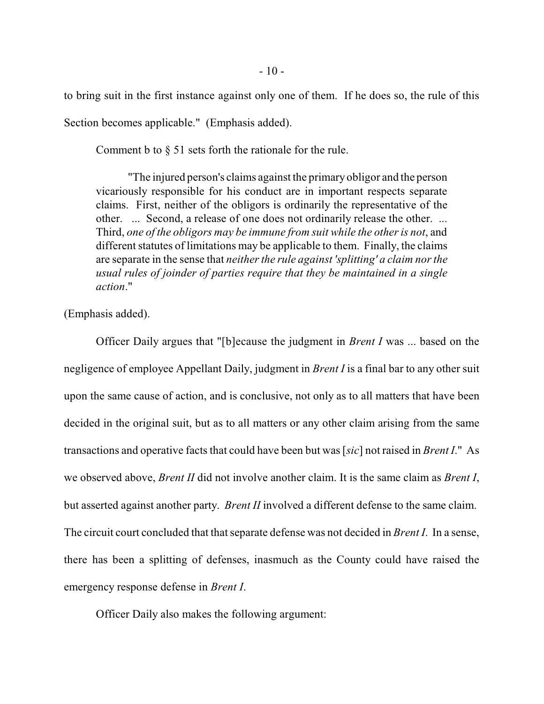to bring suit in the first instance against only one of them. If he does so, the rule of this Section becomes applicable." (Emphasis added).

Comment b to  $\S$  51 sets forth the rationale for the rule.

"The injured person's claims against the primary obligor and the person vicariously responsible for his conduct are in important respects separate claims. First, neither of the obligors is ordinarily the representative of the other. ... Second, a release of one does not ordinarily release the other. ... Third, *one of the obligors may be immune from suit while the other is not*, and different statutes of limitations may be applicable to them. Finally, the claims are separate in the sense that *neither the rule against 'splitting' a claim nor the usual rules of joinder of parties require that they be maintained in a single action*."

(Emphasis added).

Officer Daily argues that "[b]ecause the judgment in *Brent I* was ... based on the negligence of employee Appellant Daily, judgment in *Brent I* is a final bar to any other suit upon the same cause of action, and is conclusive, not only as to all matters that have been decided in the original suit, but as to all matters or any other claim arising from the same transactions and operative facts that could have been but was [*sic*] not raised in *Brent I*." As we observed above, *Brent II* did not involve another claim. It is the same claim as *Brent I*, but asserted against another party. *Brent II* involved a different defense to the same claim. The circuit court concluded that that separate defense was not decided in *Brent I*. In a sense, there has been a splitting of defenses, inasmuch as the County could have raised the emergency response defense in *Brent I*.

Officer Daily also makes the following argument: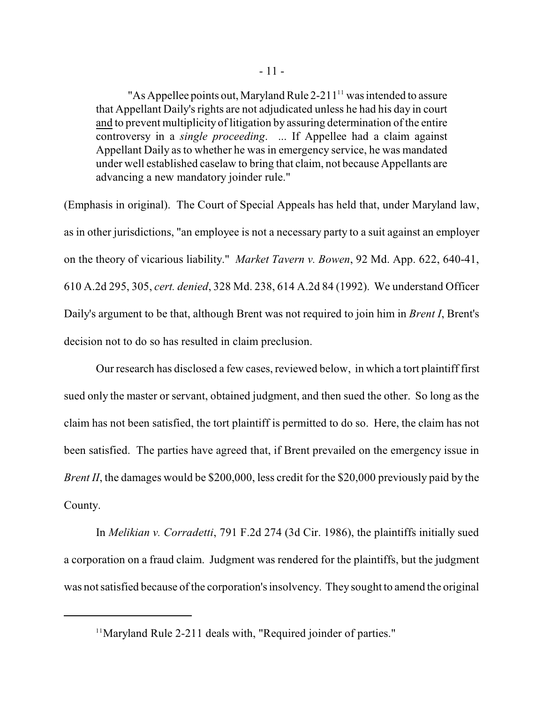"As Appellee points out, Maryland Rule  $2-211$ <sup>11</sup> was intended to assure that Appellant Daily's rights are not adjudicated unless he had his day in court and to prevent multiplicity of litigation by assuring determination of the entire controversy in a *single proceeding*. ... If Appellee had a claim against Appellant Daily as to whether he was in emergency service, he was mandated under well established caselaw to bring that claim, not because Appellants are advancing a new mandatory joinder rule."

(Emphasis in original). The Court of Special Appeals has held that, under Maryland law, as in other jurisdictions, "an employee is not a necessary party to a suit against an employer on the theory of vicarious liability." *Market Tavern v. Bowen*, 92 Md. App. 622, 640-41, 610 A.2d 295, 305, *cert. denied*, 328 Md. 238, 614 A.2d 84 (1992). We understand Officer Daily's argument to be that, although Brent was not required to join him in *Brent I*, Brent's decision not to do so has resulted in claim preclusion.

Our research has disclosed a few cases, reviewed below, in which a tort plaintiff first sued only the master or servant, obtained judgment, and then sued the other. So long as the claim has not been satisfied, the tort plaintiff is permitted to do so. Here, the claim has not been satisfied. The parties have agreed that, if Brent prevailed on the emergency issue in *Brent II*, the damages would be \$200,000, less credit for the \$20,000 previously paid by the County.

In *Melikian v. Corradetti*, 791 F.2d 274 (3d Cir. 1986), the plaintiffs initially sued a corporation on a fraud claim. Judgment was rendered for the plaintiffs, but the judgment was not satisfied because of the corporation's insolvency. They sought to amend the original

 $11$ Maryland Rule 2-211 deals with, "Required joinder of parties."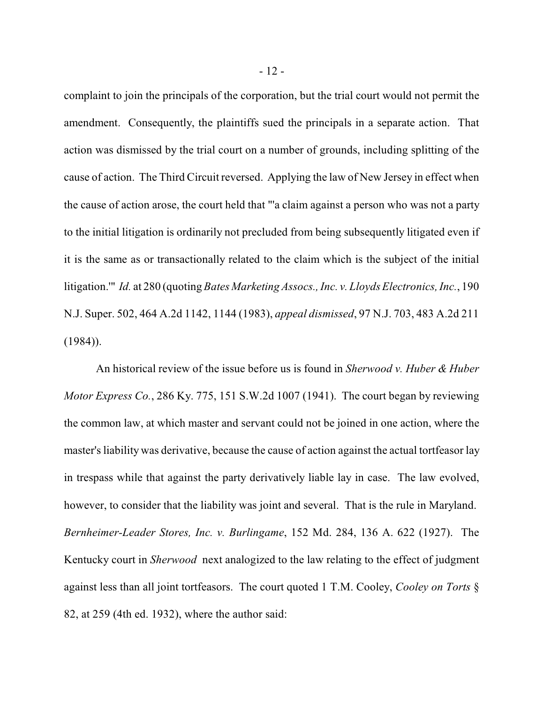complaint to join the principals of the corporation, but the trial court would not permit the amendment. Consequently, the plaintiffs sued the principals in a separate action. That action was dismissed by the trial court on a number of grounds, including splitting of the cause of action. The Third Circuit reversed. Applying the law of New Jersey in effect when the cause of action arose, the court held that "'a claim against a person who was not a party to the initial litigation is ordinarily not precluded from being subsequently litigated even if it is the same as or transactionally related to the claim which is the subject of the initial litigation.'" *Id.* at 280 (quoting *Bates Marketing Assocs., Inc. v. Lloyds Electronics, Inc.*, 190 N.J. Super. 502, 464 A.2d 1142, 1144 (1983), *appeal dismissed*, 97 N.J. 703, 483 A.2d 211  $(1984)$ ).

An historical review of the issue before us is found in *Sherwood v. Huber & Huber Motor Express Co.*, 286 Ky. 775, 151 S.W.2d 1007 (1941). The court began by reviewing the common law, at which master and servant could not be joined in one action, where the master's liability was derivative, because the cause of action against the actual tortfeasor lay in trespass while that against the party derivatively liable lay in case. The law evolved, however, to consider that the liability was joint and several. That is the rule in Maryland. *Bernheimer-Leader Stores, Inc. v. Burlingame*, 152 Md. 284, 136 A. 622 (1927). The Kentucky court in *Sherwood* next analogized to the law relating to the effect of judgment against less than all joint tortfeasors. The court quoted 1 T.M. Cooley, *Cooley on Torts* § 82, at 259 (4th ed. 1932), where the author said: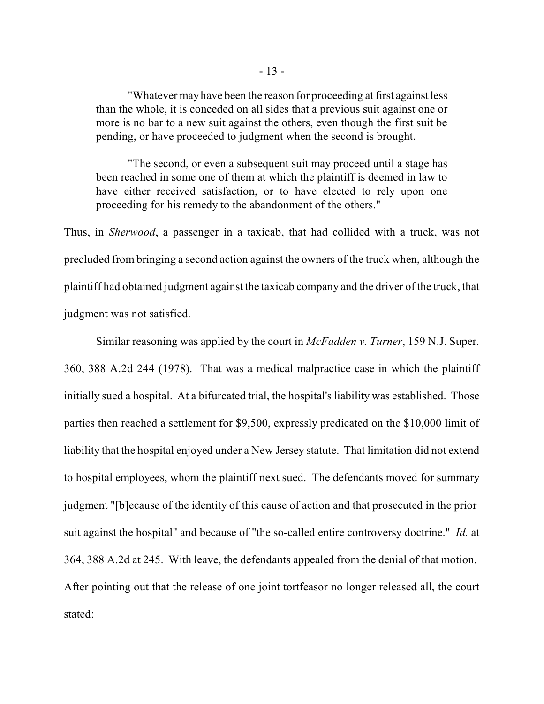"Whatever may have been the reason for proceeding at first against less than the whole, it is conceded on all sides that a previous suit against one or more is no bar to a new suit against the others, even though the first suit be pending, or have proceeded to judgment when the second is brought.

"The second, or even a subsequent suit may proceed until a stage has been reached in some one of them at which the plaintiff is deemed in law to have either received satisfaction, or to have elected to rely upon one proceeding for his remedy to the abandonment of the others."

Thus, in *Sherwood*, a passenger in a taxicab, that had collided with a truck, was not precluded from bringing a second action against the owners of the truck when, although the plaintiff had obtained judgment against the taxicab company and the driver of the truck, that judgment was not satisfied.

Similar reasoning was applied by the court in *McFadden v. Turner*, 159 N.J. Super. 360, 388 A.2d 244 (1978). That was a medical malpractice case in which the plaintiff initially sued a hospital. At a bifurcated trial, the hospital's liability was established. Those parties then reached a settlement for \$9,500, expressly predicated on the \$10,000 limit of liability that the hospital enjoyed under a New Jersey statute. That limitation did not extend to hospital employees, whom the plaintiff next sued. The defendants moved for summary judgment "[b]ecause of the identity of this cause of action and that prosecuted in the prior suit against the hospital" and because of "the so-called entire controversy doctrine." *Id.* at 364, 388 A.2d at 245. With leave, the defendants appealed from the denial of that motion. After pointing out that the release of one joint tortfeasor no longer released all, the court stated: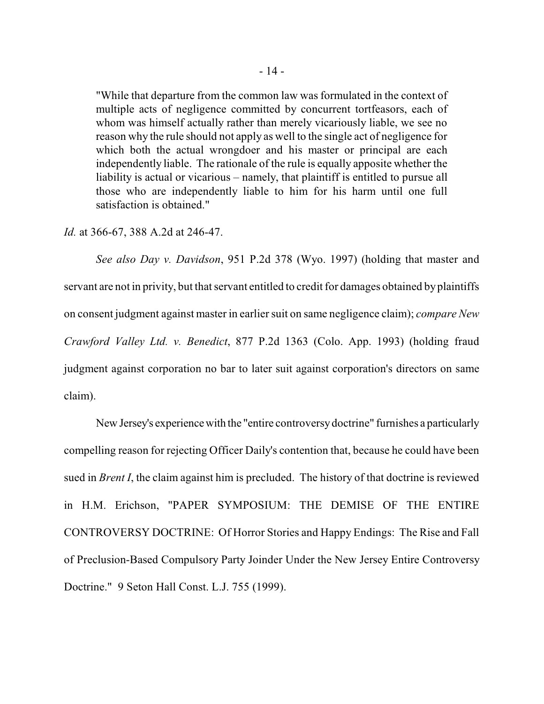"While that departure from the common law was formulated in the context of multiple acts of negligence committed by concurrent tortfeasors, each of whom was himself actually rather than merely vicariously liable, we see no reason why the rule should not apply as well to the single act of negligence for which both the actual wrongdoer and his master or principal are each independently liable. The rationale of the rule is equally apposite whether the liability is actual or vicarious – namely, that plaintiff is entitled to pursue all those who are independently liable to him for his harm until one full satisfaction is obtained."

*Id.* at 366-67, 388 A.2d at 246-47.

*See also Day v. Davidson*, 951 P.2d 378 (Wyo. 1997) (holding that master and servant are not in privity, but that servant entitled to credit for damages obtained byplaintiffs on consent judgment against master in earlier suit on same negligence claim); *compare New Crawford Valley Ltd. v. Benedict*, 877 P.2d 1363 (Colo. App. 1993) (holding fraud judgment against corporation no bar to later suit against corporation's directors on same claim).

New Jersey's experiencewith the "entire controversydoctrine" furnishes a particularly compelling reason for rejecting Officer Daily's contention that, because he could have been sued in *Brent I*, the claim against him is precluded. The history of that doctrine is reviewed in H.M. Erichson, "PAPER SYMPOSIUM: THE DEMISE OF THE ENTIRE CONTROVERSY DOCTRINE: Of Horror Stories and Happy Endings: The Rise and Fall of Preclusion-Based Compulsory Party Joinder Under the New Jersey Entire Controversy Doctrine." 9 Seton Hall Const. L.J. 755 (1999).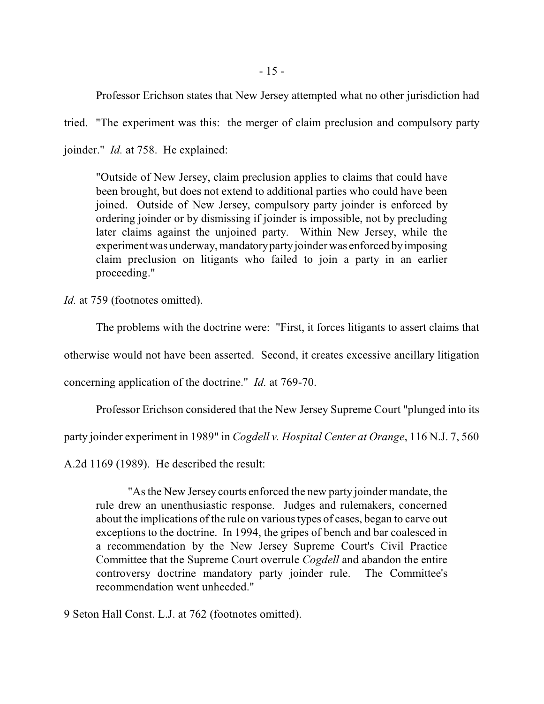Professor Erichson states that New Jersey attempted what no other jurisdiction had

tried. "The experiment was this: the merger of claim preclusion and compulsory party joinder." *Id.* at 758. He explained:

"Outside of New Jersey, claim preclusion applies to claims that could have been brought, but does not extend to additional parties who could have been joined. Outside of New Jersey, compulsory party joinder is enforced by ordering joinder or by dismissing if joinder is impossible, not by precluding later claims against the unjoined party. Within New Jersey, while the experiment was underway, mandatorypartyjoinder was enforced byimposing claim preclusion on litigants who failed to join a party in an earlier proceeding."

*Id.* at 759 (footnotes omitted).

The problems with the doctrine were: "First, it forces litigants to assert claims that

otherwise would not have been asserted. Second, it creates excessive ancillary litigation

concerning application of the doctrine." *Id.* at 769-70.

Professor Erichson considered that the New Jersey Supreme Court "plunged into its

party joinder experiment in 1989" in *Cogdell v. Hospital Center at Orange*, 116 N.J. 7, 560

A.2d 1169 (1989). He described the result:

"As the New Jersey courts enforced the new party joinder mandate, the rule drew an unenthusiastic response. Judges and rulemakers, concerned about the implications of the rule on various types of cases, began to carve out exceptions to the doctrine. In 1994, the gripes of bench and bar coalesced in a recommendation by the New Jersey Supreme Court's Civil Practice Committee that the Supreme Court overrule *Cogdell* and abandon the entire controversy doctrine mandatory party joinder rule. The Committee's recommendation went unheeded."

9 Seton Hall Const. L.J. at 762 (footnotes omitted).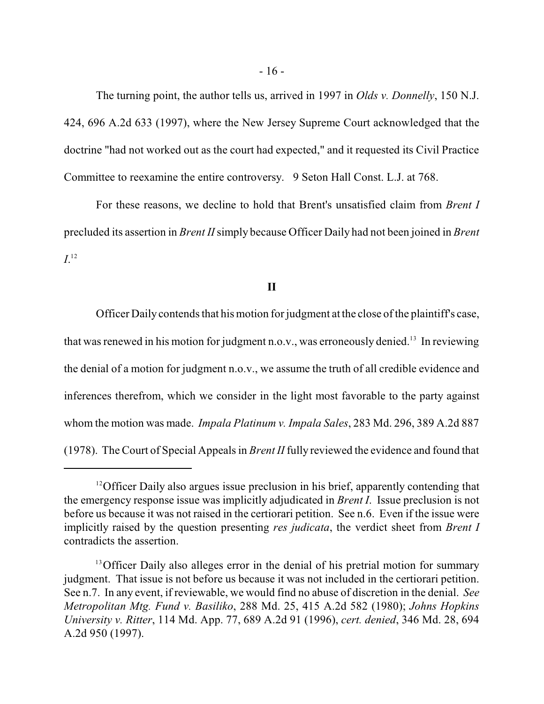The turning point, the author tells us, arrived in 1997 in *Olds v. Donnelly*, 150 N.J. 424, 696 A.2d 633 (1997), where the New Jersey Supreme Court acknowledged that the doctrine "had not worked out as the court had expected," and it requested its Civil Practice Committee to reexamine the entire controversy. 9 Seton Hall Const. L.J. at 768.

For these reasons, we decline to hold that Brent's unsatisfied claim from *Brent I* precluded its assertion in *Brent II*simply because Officer Daily had not been joined in *Brent*  $I^{12}$ 

#### **II**

Officer Daily contends that his motion for judgment at the close ofthe plaintiff's case, that was renewed in his motion for judgment n.o.v., was erroneously denied.<sup>13</sup> In reviewing the denial of a motion for judgment n.o.v., we assume the truth of all credible evidence and inferences therefrom, which we consider in the light most favorable to the party against whom the motion was made. *Impala Platinum v. Impala Sales*, 283 Md. 296, 389 A.2d 887 (1978). The Court of Special Appeals in *Brent II* fully reviewed the evidence and found that

 $12$ Officer Daily also argues issue preclusion in his brief, apparently contending that the emergency response issue was implicitly adjudicated in *Brent I*. Issue preclusion is not before us because it was not raised in the certiorari petition. See n.6. Even if the issue were implicitly raised by the question presenting *res judicata*, the verdict sheet from *Brent I* contradicts the assertion.

<sup>&</sup>lt;sup>13</sup> Officer Daily also alleges error in the denial of his pretrial motion for summary judgment. That issue is not before us because it was not included in the certiorari petition. See n.7. In any event, if reviewable, we would find no abuse of discretion in the denial. *See Metropolitan Mtg. Fund v. Basiliko*, 288 Md. 25, 415 A.2d 582 (1980); *Johns Hopkins University v. Ritter*, 114 Md. App. 77, 689 A.2d 91 (1996), *cert. denied*, 346 Md. 28, 694 A.2d 950 (1997).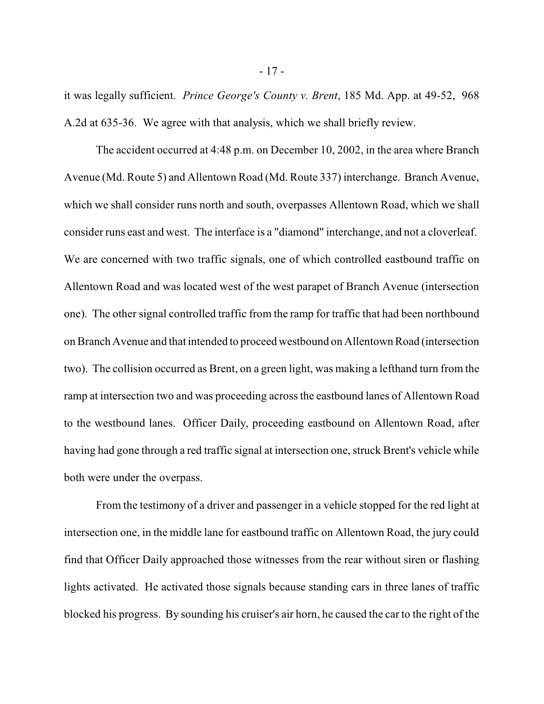it was legally sufficient. *Prince George's County v. Brent*, 185 Md. App. at 49-52, 968 A.2d at 635-36. We agree with that analysis, which we shall briefly review.

The accident occurred at 4:48 p.m. on December 10, 2002, in the area where Branch Avenue (Md. Route 5) and Allentown Road (Md. Route 337) interchange. Branch Avenue, which we shall consider runs north and south, overpasses Allentown Road, which we shall consider runs east and west. The interface is a "diamond" interchange, and not a cloverleaf. We are concerned with two traffic signals, one of which controlled eastbound traffic on Allentown Road and was located west of the west parapet of Branch Avenue (intersection one). The other signal controlled traffic from the ramp for traffic that had been northbound onBranch Avenue and that intended to proceed westbound on AllentownRoad (intersection two). The collision occurred as Brent, on a green light, was making a lefthand turn from the ramp at intersection two and was proceeding across the eastbound lanes of Allentown Road to the westbound lanes. Officer Daily, proceeding eastbound on Allentown Road, after having had gone through a red traffic signal at intersection one, struck Brent's vehicle while both were under the overpass.

From the testimony of a driver and passenger in a vehicle stopped for the red light at intersection one, in the middle lane for eastbound traffic on Allentown Road, the jury could find that Officer Daily approached those witnesses from the rear without siren or flashing lights activated. He activated those signals because standing cars in three lanes of traffic blocked his progress. By sounding his cruiser's air horn, he caused the car to the right of the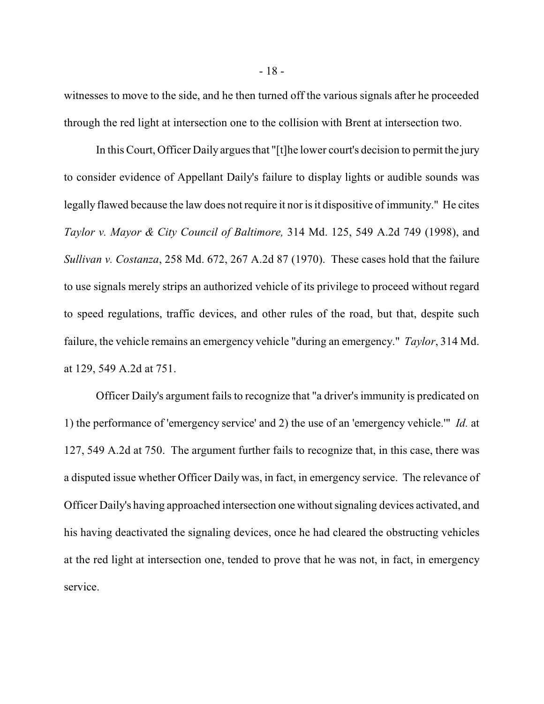witnesses to move to the side, and he then turned off the various signals after he proceeded through the red light at intersection one to the collision with Brent at intersection two.

In this Court, Officer Daily argues that "[t]he lower court's decision to permit the jury to consider evidence of Appellant Daily's failure to display lights or audible sounds was legally flawed because the law does not require it nor is it dispositive of immunity." He cites *Taylor v. Mayor & City Council of Baltimore,* 314 Md. 125, 549 A.2d 749 (1998), and *Sullivan v. Costanza*, 258 Md. 672, 267 A.2d 87 (1970). These cases hold that the failure to use signals merely strips an authorized vehicle of its privilege to proceed without regard to speed regulations, traffic devices, and other rules of the road, but that, despite such failure, the vehicle remains an emergency vehicle "during an emergency." *Taylor*, 314 Md. at 129, 549 A.2d at 751.

Officer Daily's argument fails to recognize that "a driver's immunity is predicated on 1) the performance of 'emergency service' and 2) the use of an 'emergency vehicle.'" *Id.* at 127, 549 A.2d at 750. The argument further fails to recognize that, in this case, there was a disputed issue whether Officer Daily was, in fact, in emergency service. The relevance of Officer Daily's having approached intersection one without signaling devices activated, and his having deactivated the signaling devices, once he had cleared the obstructing vehicles at the red light at intersection one, tended to prove that he was not, in fact, in emergency service.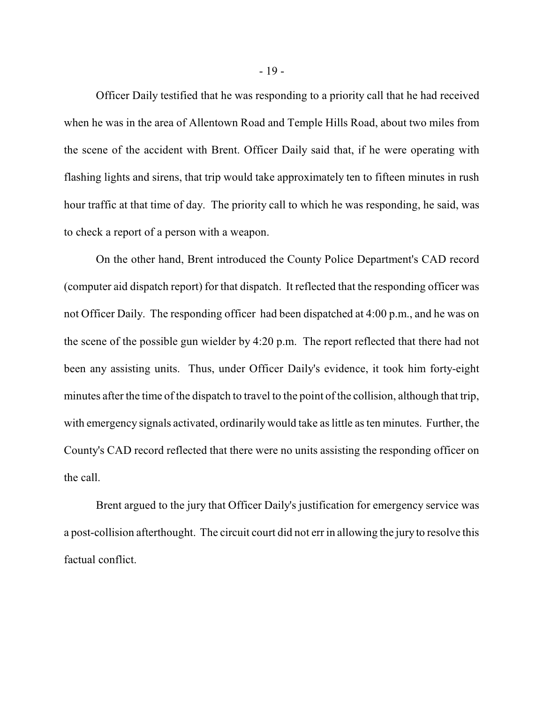Officer Daily testified that he was responding to a priority call that he had received when he was in the area of Allentown Road and Temple Hills Road, about two miles from the scene of the accident with Brent. Officer Daily said that, if he were operating with flashing lights and sirens, that trip would take approximately ten to fifteen minutes in rush hour traffic at that time of day. The priority call to which he was responding, he said, was to check a report of a person with a weapon.

On the other hand, Brent introduced the County Police Department's CAD record (computer aid dispatch report) for that dispatch. It reflected that the responding officer was not Officer Daily. The responding officer had been dispatched at 4:00 p.m., and he was on the scene of the possible gun wielder by 4:20 p.m. The report reflected that there had not been any assisting units. Thus, under Officer Daily's evidence, it took him forty-eight minutes after the time of the dispatch to travel to the point of the collision, although that trip, with emergency signals activated, ordinarily would take as little as ten minutes. Further, the County's CAD record reflected that there were no units assisting the responding officer on the call.

Brent argued to the jury that Officer Daily's justification for emergency service was a post-collision afterthought. The circuit court did not err in allowing the jury to resolve this factual conflict.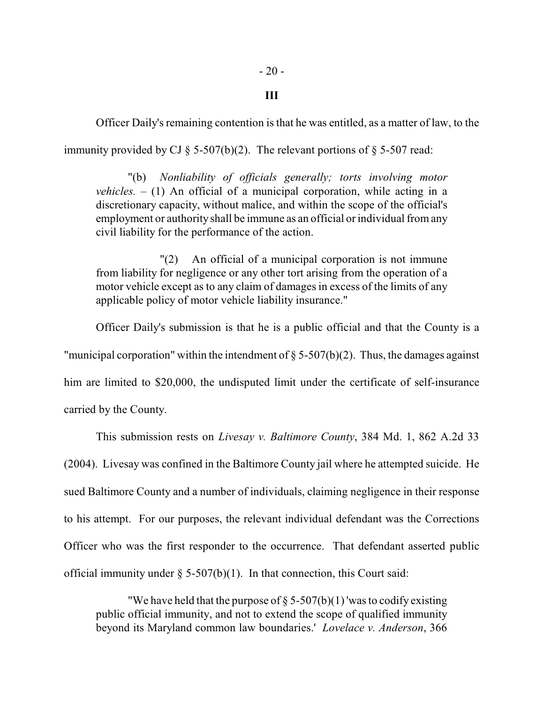### **III**

Officer Daily's remaining contention is that he was entitled, as a matter of law, to the immunity provided by CJ  $\S$  5-507(b)(2). The relevant portions of  $\S$  5-507 read:

"(b) *Nonliability of officials generally; torts involving motor vehicles.*  $- (1)$  An official of a municipal corporation, while acting in a discretionary capacity, without malice, and within the scope of the official's employment or authority shall be immune as an official or individual fromany civil liability for the performance of the action.

"(2) An official of a municipal corporation is not immune from liability for negligence or any other tort arising from the operation of a motor vehicle except as to any claim of damages in excess of the limits of any applicable policy of motor vehicle liability insurance."

Officer Daily's submission is that he is a public official and that the County is a "municipal corporation" within the intendment of  $\S$  5-507(b)(2). Thus, the damages against him are limited to \$20,000, the undisputed limit under the certificate of self-insurance

carried by the County.

This submission rests on *Livesay v. Baltimore County*, 384 Md. 1, 862 A.2d 33 (2004). Livesay was confined in the Baltimore County jail where he attempted suicide. He sued Baltimore County and a number of individuals, claiming negligence in their response to his attempt. For our purposes, the relevant individual defendant was the Corrections Officer who was the first responder to the occurrence. That defendant asserted public official immunity under  $\S$  5-507(b)(1). In that connection, this Court said:

"We have held that the purpose of  $\S 5-507(b)(1)$  'was to codify existing public official immunity, and not to extend the scope of qualified immunity beyond its Maryland common law boundaries.' *Lovelace v. Anderson*, 366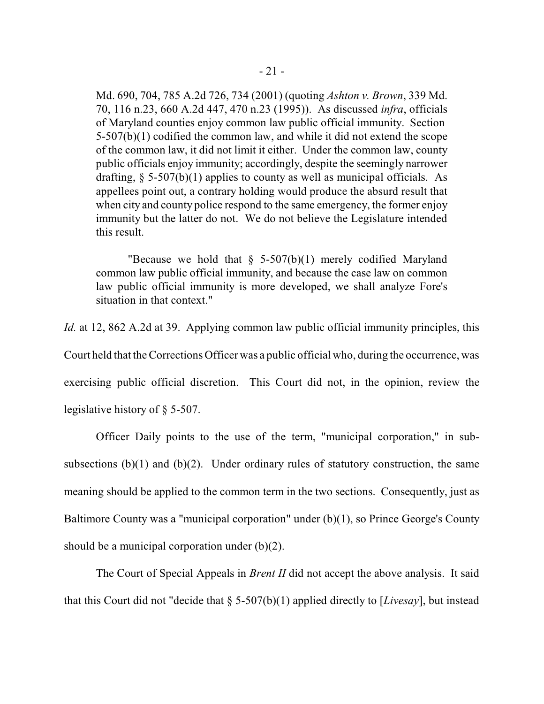Md. 690, 704, 785 A.2d 726, 734 (2001) (quoting *Ashton v. Brown*, 339 Md. 70, 116 n.23, 660 A.2d 447, 470 n.23 (1995)). As discussed *infra*, officials of Maryland counties enjoy common law public official immunity. Section 5-507(b)(1) codified the common law, and while it did not extend the scope of the common law, it did not limit it either. Under the common law, county public officials enjoy immunity; accordingly, despite the seemingly narrower drafting,  $\S$  5-507(b)(1) applies to county as well as municipal officials. As appellees point out, a contrary holding would produce the absurd result that when city and county police respond to the same emergency, the former enjoy immunity but the latter do not. We do not believe the Legislature intended this result.

"Because we hold that  $\S$  5-507(b)(1) merely codified Maryland common law public official immunity, and because the case law on common law public official immunity is more developed, we shall analyze Fore's situation in that context."

*Id.* at 12, 862 A.2d at 39. Applying common law public official immunity principles, this Court held that the Corrections Officer was a public official who, during the occurrence, was exercising public official discretion. This Court did not, in the opinion, review the legislative history of § 5-507.

Officer Daily points to the use of the term, "municipal corporation," in subsubsections (b)(1) and (b)(2). Under ordinary rules of statutory construction, the same meaning should be applied to the common term in the two sections. Consequently, just as Baltimore County was a "municipal corporation" under (b)(1), so Prince George's County should be a municipal corporation under  $(b)(2)$ .

The Court of Special Appeals in *Brent II* did not accept the above analysis. It said that this Court did not "decide that § 5-507(b)(1) applied directly to [*Livesay*], but instead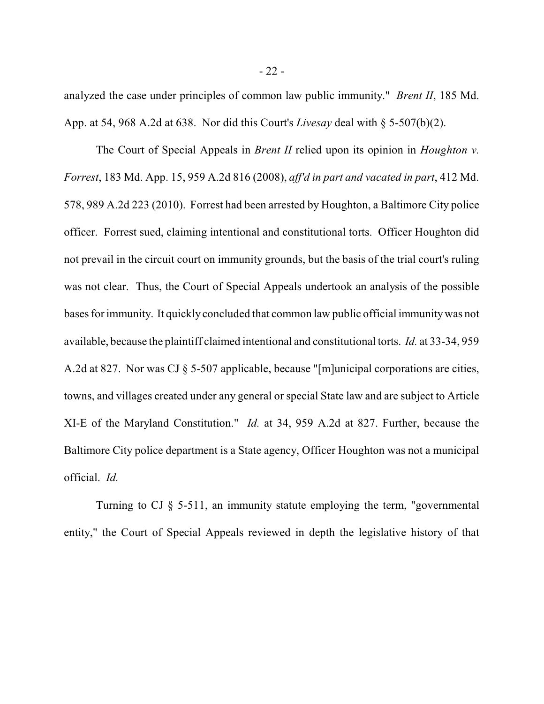analyzed the case under principles of common law public immunity." *Brent II*, 185 Md. App. at 54, 968 A.2d at 638. Nor did this Court's *Livesay* deal with § 5-507(b)(2).

The Court of Special Appeals in *Brent II* relied upon its opinion in *Houghton v. Forrest*, 183 Md. App. 15, 959 A.2d 816 (2008), *aff'd in part and vacated in part*, 412 Md. 578, 989 A.2d 223 (2010). Forrest had been arrested by Houghton, a Baltimore City police officer. Forrest sued, claiming intentional and constitutional torts. Officer Houghton did not prevail in the circuit court on immunity grounds, but the basis of the trial court's ruling was not clear. Thus, the Court of Special Appeals undertook an analysis of the possible bases for immunity. It quickly concluded that common law public official immunitywas not available, because the plaintiff claimed intentional and constitutional torts. *Id.* at 33-34, 959 A.2d at 827. Nor was CJ § 5-507 applicable, because "[m]unicipal corporations are cities, towns, and villages created under any general or special State law and are subject to Article XI-E of the Maryland Constitution." *Id.* at 34, 959 A.2d at 827. Further, because the Baltimore City police department is a State agency, Officer Houghton was not a municipal official. *Id.*

Turning to CJ § 5-511, an immunity statute employing the term, "governmental entity," the Court of Special Appeals reviewed in depth the legislative history of that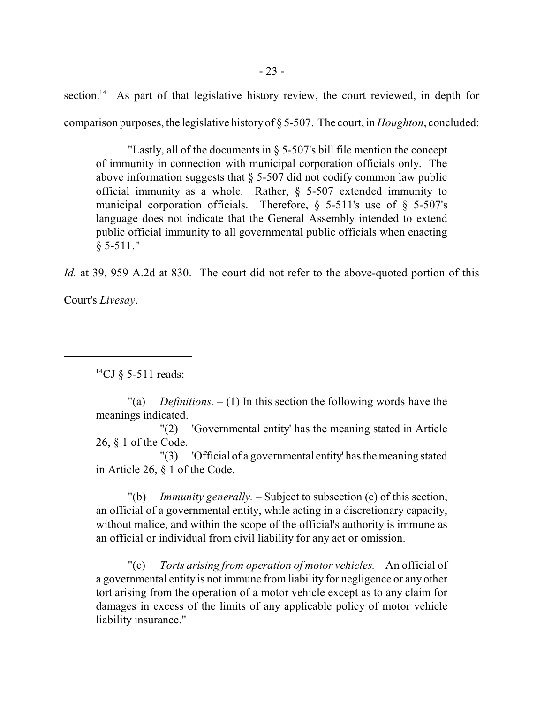section.<sup>14</sup> As part of that legislative history review, the court reviewed, in depth for comparison purposes, the legislative history of § 5-507. The court, in *Houghton*, concluded:

"Lastly, all of the documents in § 5-507's bill file mention the concept of immunity in connection with municipal corporation officials only. The above information suggests that § 5-507 did not codify common law public official immunity as a whole. Rather, § 5-507 extended immunity to municipal corporation officials. Therefore,  $\S$  5-511's use of  $\S$  5-507's language does not indicate that the General Assembly intended to extend public official immunity to all governmental public officials when enacting  $§ 5-511."$ 

*Id.* at 39, 959 A.2d at 830. The court did not refer to the above-quoted portion of this

Court's *Livesay*.

<sup>14</sup>CJ § 5-511 reads:

"(a) *Definitions.*  $- (1)$  In this section the following words have the meanings indicated.

"(2) 'Governmental entity' has the meaning stated in Article 26, § 1 of the Code.

"(3) 'Official of a governmental entity' has the meaning stated in Article 26, § 1 of the Code.

"(b) *Immunity generally.* – Subject to subsection (c) of this section, an official of a governmental entity, while acting in a discretionary capacity, without malice, and within the scope of the official's authority is immune as an official or individual from civil liability for any act or omission.

"(c) *Torts arising from operation of motor vehicles.* – An official of a governmental entity is not immune from liability for negligence or any other tort arising from the operation of a motor vehicle except as to any claim for damages in excess of the limits of any applicable policy of motor vehicle liability insurance."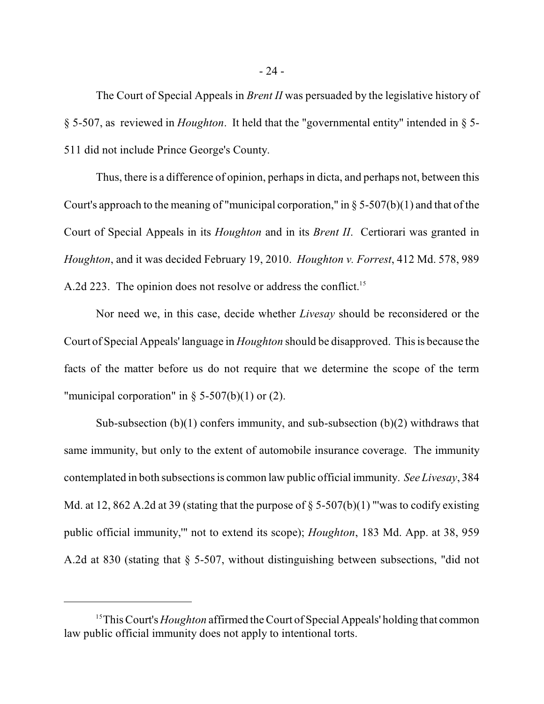The Court of Special Appeals in *Brent II* was persuaded by the legislative history of § 5-507, as reviewed in *Houghton*. It held that the "governmental entity" intended in § 5- 511 did not include Prince George's County.

Thus, there is a difference of opinion, perhaps in dicta, and perhaps not, between this Court's approach to the meaning of "municipal corporation," in  $\S 5-507(b)(1)$  and that of the Court of Special Appeals in its *Houghton* and in its *Brent II*. Certiorari was granted in *Houghton*, and it was decided February 19, 2010. *Houghton v. Forrest*, 412 Md. 578, 989 A.2d 223. The opinion does not resolve or address the conflict.<sup>15</sup>

Nor need we, in this case, decide whether *Livesay* should be reconsidered or the Court of Special Appeals' language in *Houghton* should be disapproved. This is because the facts of the matter before us do not require that we determine the scope of the term "municipal corporation" in  $\S$  5-507(b)(1) or (2).

Sub-subsection  $(b)(1)$  confers immunity, and sub-subsection  $(b)(2)$  withdraws that same immunity, but only to the extent of automobile insurance coverage. The immunity contemplated in both subsections is common law public official immunity. *See Livesay*, 384 Md. at 12, 862 A.2d at 39 (stating that the purpose of  $\S$  5-507(b)(1) "'was to codify existing public official immunity,'" not to extend its scope); *Houghton*, 183 Md. App. at 38, 959 A.2d at 830 (stating that § 5-507, without distinguishing between subsections, "did not

<sup>&</sup>lt;sup>15</sup>This Court's *Houghton* affirmed the Court of Special Appeals' holding that common law public official immunity does not apply to intentional torts.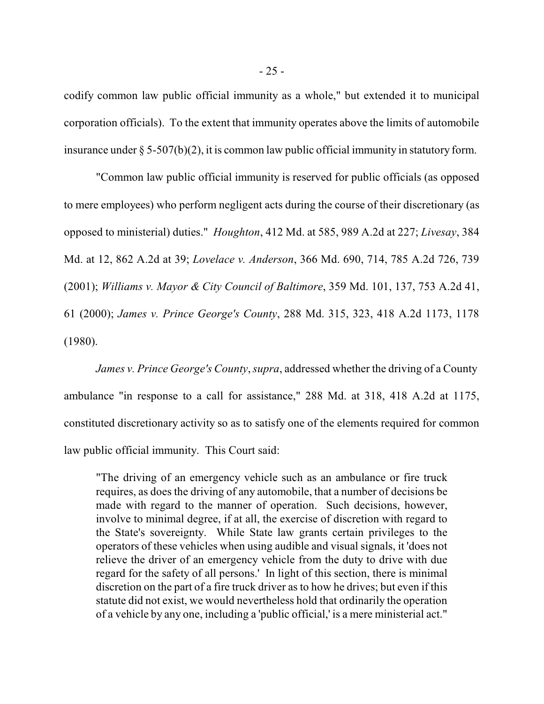codify common law public official immunity as a whole," but extended it to municipal corporation officials). To the extent that immunity operates above the limits of automobile insurance under § 5-507(b)(2), it is common law public official immunity in statutory form.

"Common law public official immunity is reserved for public officials (as opposed to mere employees) who perform negligent acts during the course of their discretionary (as opposed to ministerial) duties." *Houghton*, 412 Md. at 585, 989 A.2d at 227; *Livesay*, 384 Md. at 12, 862 A.2d at 39; *Lovelace v. Anderson*, 366 Md. 690, 714, 785 A.2d 726, 739 (2001); *Williams v. Mayor & City Council of Baltimore*, 359 Md. 101, 137, 753 A.2d 41, 61 (2000); *James v. Prince George's County*, 288 Md. 315, 323, 418 A.2d 1173, 1178 (1980).

*James v. Prince George's County*, *supra*, addressed whether the driving of a County ambulance "in response to a call for assistance," 288 Md. at 318, 418 A.2d at 1175, constituted discretionary activity so as to satisfy one of the elements required for common law public official immunity. This Court said:

"The driving of an emergency vehicle such as an ambulance or fire truck requires, as does the driving of any automobile, that a number of decisions be made with regard to the manner of operation. Such decisions, however, involve to minimal degree, if at all, the exercise of discretion with regard to the State's sovereignty. While State law grants certain privileges to the operators of these vehicles when using audible and visual signals, it 'does not relieve the driver of an emergency vehicle from the duty to drive with due regard for the safety of all persons.' In light of this section, there is minimal discretion on the part of a fire truck driver as to how he drives; but even if this statute did not exist, we would nevertheless hold that ordinarily the operation of a vehicle by any one, including a 'public official,' is a mere ministerial act."